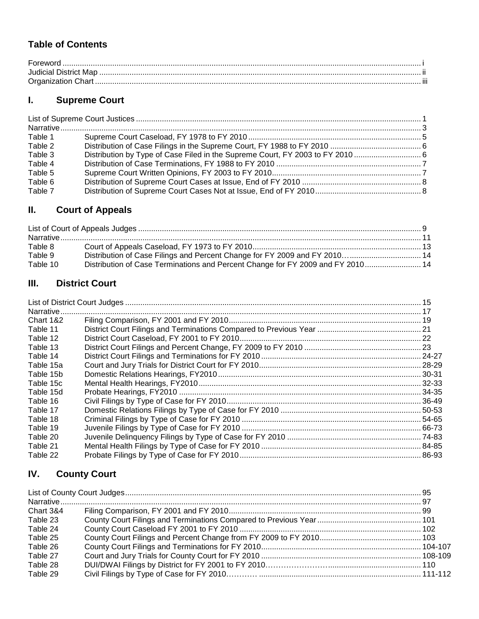## **Table of Contents**

| $\textbf{For} \textbf{word} \textit{}{\textit{}} \textit{}{\textit{}} \textit{}{\textit{}} \textit{}{\textit{}} \textit{}{\textit{}} \textit{}{\textit{}} \textit{}{\textit{}} \textit{}$ |  |
|-------------------------------------------------------------------------------------------------------------------------------------------------------------------------------------------|--|
|                                                                                                                                                                                           |  |
|                                                                                                                                                                                           |  |

# **I. Supreme Court**

| Table 1 |  |
|---------|--|
| Table 2 |  |
| Table 3 |  |
| Table 4 |  |
| Table 5 |  |
| Table 6 |  |
| Table 7 |  |

# **II. Court of Appeals**

| Table 8  |                                                                              |  |
|----------|------------------------------------------------------------------------------|--|
| Table 9  |                                                                              |  |
| Table 10 | Distribution of Case Terminations and Percent Change for FY 2009 and FY 2010 |  |

## **III. District Court**

| Narrative |  |
|-----------|--|
| Chart 1&2 |  |
| Table 11  |  |
| Table 12  |  |
| Table 13  |  |
| Table 14  |  |
| Table 15a |  |
| Table 15b |  |
| Table 15c |  |
| Table 15d |  |
| Table 16  |  |
| Table 17  |  |
| Table 18  |  |
| Table 19  |  |
| Table 20  |  |
| Table 21  |  |
| Table 22  |  |

# **IV. County Court**

| <b>Chart 3&amp;4</b> |  |
|----------------------|--|
| Table 23             |  |
| Table 24             |  |
| Table 25             |  |
| Table 26             |  |
| Table 27             |  |
| Table 28             |  |
| Table 29             |  |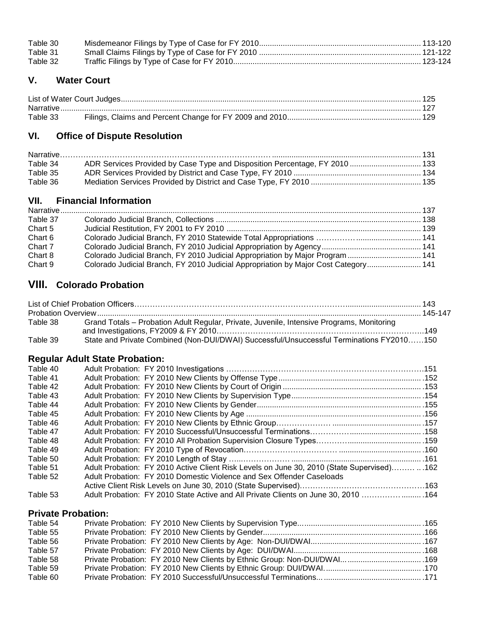| Table 30 |  |
|----------|--|
| Table 31 |  |
| Table 32 |  |

### **V. Water Court**

| Table 33 |  |
|----------|--|

## **VI. Office of Dispute Resolution**

| Table 34 |  |
|----------|--|
| Table 35 |  |
| Table 36 |  |

### **VII. Financial Information**

| Table 37 |                                                                                     |  |
|----------|-------------------------------------------------------------------------------------|--|
| Chart 5  |                                                                                     |  |
| Chart 6  |                                                                                     |  |
| Chart 7  |                                                                                     |  |
| Chart 8  | Colorado Judicial Branch, FY 2010 Judicial Appropriation by Major Program  141      |  |
| Chart 9  | Colorado Judicial Branch, FY 2010 Judicial Appropriation by Major Cost Category 141 |  |

## **VIII. Colorado Probation**

| Table 38 | Grand Totals - Probation Adult Regular, Private, Juvenile, Intensive Programs, Monitoring |  |
|----------|-------------------------------------------------------------------------------------------|--|
| Table 39 | State and Private Combined (Non-DUI/DWAI) Successful/Unsuccessful Terminations FY2010150  |  |

### **Regular Adult State Probation:**

| Table 40 |                                                                                           |  |
|----------|-------------------------------------------------------------------------------------------|--|
| Table 41 |                                                                                           |  |
| Table 42 |                                                                                           |  |
| Table 43 |                                                                                           |  |
| Table 44 |                                                                                           |  |
| Table 45 |                                                                                           |  |
| Table 46 |                                                                                           |  |
| Table 47 |                                                                                           |  |
| Table 48 |                                                                                           |  |
| Table 49 |                                                                                           |  |
| Table 50 |                                                                                           |  |
| Table 51 | Adult Probation: FY 2010 Active Client Risk Levels on June 30, 2010 (State Supervised)162 |  |
| Table 52 | Adult Probation: FY 2010 Domestic Violence and Sex Offender Caseloads                     |  |
|          |                                                                                           |  |
| Table 53 | Adult Probation: FY 2010 State Active and All Private Clients on June 30, 2010 164        |  |

### **Private Probation:**

| Table 54 |  |  |
|----------|--|--|
| Table 55 |  |  |
| Table 56 |  |  |
| Table 57 |  |  |
| Table 58 |  |  |
| Table 59 |  |  |
| Table 60 |  |  |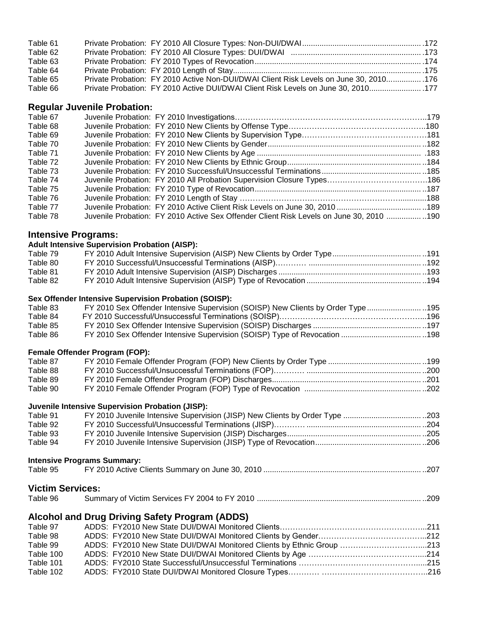| Table 61 |                                                                                        |  |
|----------|----------------------------------------------------------------------------------------|--|
| Table 62 |                                                                                        |  |
| Table 63 |                                                                                        |  |
| Table 64 |                                                                                        |  |
| Table 65 | Private Probation: FY 2010 Active Non-DUI/DWAI Client Risk Levels on June 30, 2010 176 |  |
| Table 66 | Private Probation: FY 2010 Active DUI/DWAI Client Risk Levels on June 30, 2010 177     |  |

#### **Regular Juvenile Probation:**

| Table 67 |                                                                                          |  |
|----------|------------------------------------------------------------------------------------------|--|
| Table 68 |                                                                                          |  |
| Table 69 |                                                                                          |  |
| Table 70 |                                                                                          |  |
| Table 71 |                                                                                          |  |
| Table 72 |                                                                                          |  |
| Table 73 |                                                                                          |  |
| Table 74 |                                                                                          |  |
| Table 75 |                                                                                          |  |
| Table 76 |                                                                                          |  |
| Table 77 |                                                                                          |  |
| Table 78 | Juvenile Probation: FY 2010 Active Sex Offender Client Risk Levels on June 30, 2010  190 |  |

#### **Intensive Programs:**

#### **Adult Intensive Supervision Probation (AISP):**

| Table 79 |  |
|----------|--|
| Table 80 |  |
| Table 81 |  |
| Table 82 |  |
|          |  |

#### **Sex Offender Intensive Supervision Probation (SOISP):**

| Table 83 | FY 2010 Sex Offender Intensive Supervision (SOISP) New Clients by Order Type195 |  |
|----------|---------------------------------------------------------------------------------|--|
| Table 84 |                                                                                 |  |
| Table 85 |                                                                                 |  |
| Table 86 |                                                                                 |  |
|          |                                                                                 |  |

#### **Female Offender Program (FOP):**

| Table 87 |  |
|----------|--|
| Table 88 |  |
| Table 89 |  |
| Table 90 |  |

#### **Juvenile Intensive Supervision Probation (JISP):**

| Table 91 |  |
|----------|--|
| Table 92 |  |
| Table 93 |  |
| Table 94 |  |

#### **Intensive Programs Summary:**

| Table 95 |  |
|----------|--|

#### **Victim Services:**

| Table 96 |  |
|----------|--|
|----------|--|

### **Alcohol and Drug Driving Safety Program (ADDS)**

| Table 97  |                                                                       |  |
|-----------|-----------------------------------------------------------------------|--|
| Table 98  |                                                                       |  |
| Table 99  | ADDS: FY2010 New State DUI/DWAI Monitored Clients by Ethnic Group 213 |  |
| Table 100 |                                                                       |  |
| Table 101 |                                                                       |  |
| Table 102 |                                                                       |  |